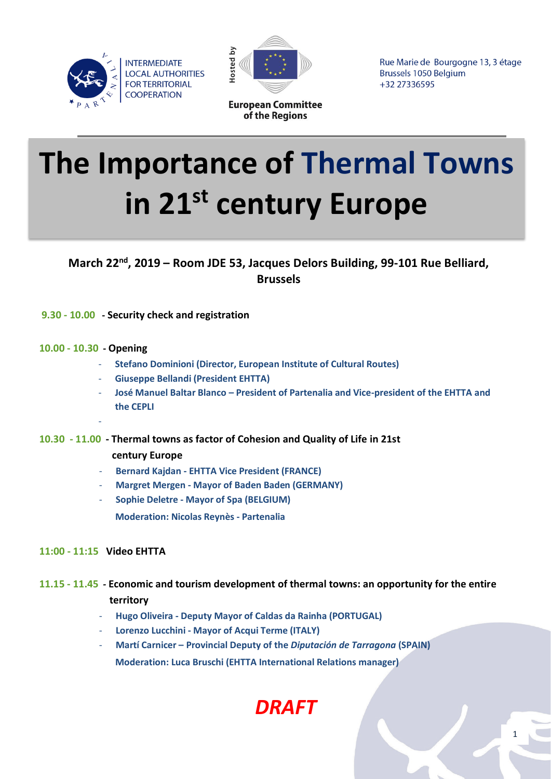



**European Committee** of the Regions

Rue Marie de Bourgogne 13, 3 étage **Brussels 1050 Belgium** +32 27336595

1

# **The Importance of Thermal Towns in 21st century Europe**

### **March 22nd, 2019 – Room JDE 53, Jacques Delors Building, 99-101 Rue Belliard, Brussels**

#### **9.30 - 10.00 - Security check and registration**

#### **10.00 - 10.30 - Opening**

-

- **Stefano Dominioni (Director, European Institute of Cultural Routes)**
- **Giuseppe Bellandi (President EHTTA)**
- **José Manuel Baltar Blanco – President of Partenalia and Vice-president of the EHTTA and the CEPLI**

#### **10.30 - 11.00****- Thermal towns as factor of Cohesion and Quality of Life in 21st**

#### **century Europe**

- **Bernard Kajdan - EHTTA Vice President (FRANCE)**
- **Margret Mergen - Mayor of Baden Baden (GERMANY)**
- **Sophie Deletre - Mayor of Spa (BELGIUM)**
	- **Moderation: Nicolas Reynès - Partenalia**

#### **11:00 - 11:15 Video EHTTA**

**11.15 - 11.45** *-* **Economic and tourism development of thermal towns: an opportunity for the entire** 

#### **territory**

- **Hugo Oliveira - Deputy Mayor of Caldas da Rainha (PORTUGAL)**
- **Lorenzo Lucchini - Mayor of Acqui Terme (ITALY)**
- **Martí Carnicer – Provincial Deputy of the** *Diputación de Tarragona* **(SPAIN)**

 **Moderation: Luca Bruschi (EHTTA International Relations manager)** 

## *DRAFT*